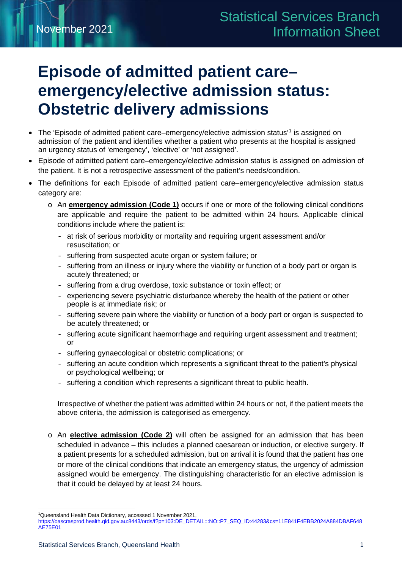# **Episode of admitted patient care– emergency/elective admission status: Obstetric delivery admissions**

- The 'Episode of admitted patient care–emergency/elective admission status'<sup>[1](#page-0-0)</sup> is assigned on admission of the patient and identifies whether a patient who presents at the hospital is assigned an urgency status of 'emergency', 'elective' or 'not assigned'.
- Episode of admitted patient care–emergency/elective admission status is assigned on admission of the patient. It is not a retrospective assessment of the patient's needs/condition.
- The definitions for each Episode of admitted patient care–emergency/elective admission status category are:
	- o An **emergency admission (Code 1)** occurs if one or more of the following clinical conditions are applicable and require the patient to be admitted within 24 hours. Applicable clinical conditions include where the patient is:
		- at risk of serious morbidity or mortality and requiring urgent assessment and/or resuscitation; or
		- suffering from suspected acute organ or system failure; or
		- suffering from an illness or injury where the viability or function of a body part or organ is acutely threatened; or
		- suffering from a drug overdose, toxic substance or toxin effect; or
		- experiencing severe psychiatric disturbance whereby the health of the patient or other people is at immediate risk; or
		- suffering severe pain where the viability or function of a body part or organ is suspected to be acutely threatened; or
		- suffering acute significant haemorrhage and requiring urgent assessment and treatment; or
		- suffering gynaecological or obstetric complications; or
		- suffering an acute condition which represents a significant threat to the patient's physical or psychological wellbeing; or
		- suffering a condition which represents a significant threat to public health.

Irrespective of whether the patient was admitted within 24 hours or not, if the patient meets the above criteria, the admission is categorised as emergency.

o An **elective admission (Code 2)** will often be assigned for an admission that has been scheduled in advance – this includes a planned caesarean or induction, or elective surgery. If a patient presents for a scheduled admission, but on arrival it is found that the patient has one or more of the clinical conditions that indicate an emergency status, the urgency of admission assigned would be emergency. The distinguishing characteristic for an elective admission is that it could be delayed by at least 24 hours.

<sup>1</sup> Queensland Health Data Dictionary, accessed 1 November 2021,

<span id="page-0-0"></span>https://oascrasprod.health.qld.gov.au:8443/ords/f?p=103:DE\_DETAIL:::NO::P7\_SEQ\_ID:44283&cs=11E841F4EBB2024A884DBAF648 AE75E01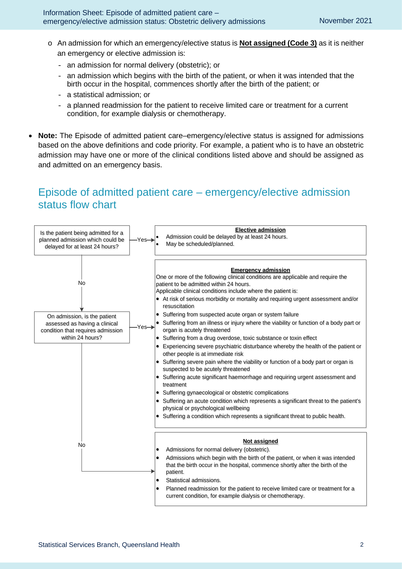- o An admission for which an emergency/elective status is **Not assigned (Code 3)** as it is neither an emergency or elective admission is:
	- an admission for normal delivery (obstetric); or
	- an admission which begins with the birth of the patient, or when it was intended that the birth occur in the hospital, commences shortly after the birth of the patient; or
	- a statistical admission; or
	- a planned readmission for the patient to receive limited care or treatment for a current condition, for example dialysis or chemotherapy.
- **Note:** The Episode of admitted patient care–emergency/elective status is assigned for admissions based on the above definitions and code priority. For example, a patient who is to have an obstetric admission may have one or more of the clinical conditions listed above and should be assigned as and admitted on an emergency basis.

## Episode of admitted patient care – emergency/elective admission status flow chart

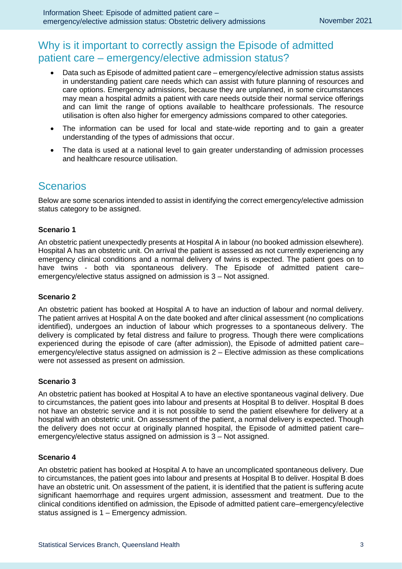### Why is it important to correctly assign the Episode of admitted patient care – emergency/elective admission status?

- Data such as Episode of admitted patient care emergency/elective admission status assists in understanding patient care needs which can assist with future planning of resources and care options. Emergency admissions, because they are unplanned, in some circumstances may mean a hospital admits a patient with care needs outside their normal service offerings and can limit the range of options available to healthcare professionals. The resource utilisation is often also higher for emergency admissions compared to other categories.
- The information can be used for local and state-wide reporting and to gain a greater understanding of the types of admissions that occur.
- The data is used at a national level to gain greater understanding of admission processes and healthcare resource utilisation.

## **Scenarios**

Below are some scenarios intended to assist in identifying the correct emergency/elective admission status category to be assigned.

#### **Scenario 1**

An obstetric patient unexpectedly presents at Hospital A in labour (no booked admission elsewhere). Hospital A has an obstetric unit. On arrival the patient is assessed as not currently experiencing any emergency clinical conditions and a normal delivery of twins is expected. The patient goes on to have twins - both via spontaneous delivery. The Episode of admitted patient care– emergency/elective status assigned on admission is 3 – Not assigned.

#### **Scenario 2**

An obstetric patient has booked at Hospital A to have an induction of labour and normal delivery. The patient arrives at Hospital A on the date booked and after clinical assessment (no complications identified), undergoes an induction of labour which progresses to a spontaneous delivery. The delivery is complicated by fetal distress and failure to progress. Though there were complications experienced during the episode of care (after admission), the Episode of admitted patient care– emergency/elective status assigned on admission is 2 – Elective admission as these complications were not assessed as present on admission.

#### **Scenario 3**

An obstetric patient has booked at Hospital A to have an elective spontaneous vaginal delivery. Due to circumstances, the patient goes into labour and presents at Hospital B to deliver. Hospital B does not have an obstetric service and it is not possible to send the patient elsewhere for delivery at a hospital with an obstetric unit. On assessment of the patient, a normal delivery is expected. Though the delivery does not occur at originally planned hospital, the Episode of admitted patient care– emergency/elective status assigned on admission is 3 – Not assigned.

#### **Scenario 4**

An obstetric patient has booked at Hospital A to have an uncomplicated spontaneous delivery. Due to circumstances, the patient goes into labour and presents at Hospital B to deliver. Hospital B does have an obstetric unit. On assessment of the patient, it is identified that the patient is suffering acute significant haemorrhage and requires urgent admission, assessment and treatment. Due to the clinical conditions identified on admission, the Episode of admitted patient care–emergency/elective status assigned is 1 – Emergency admission.